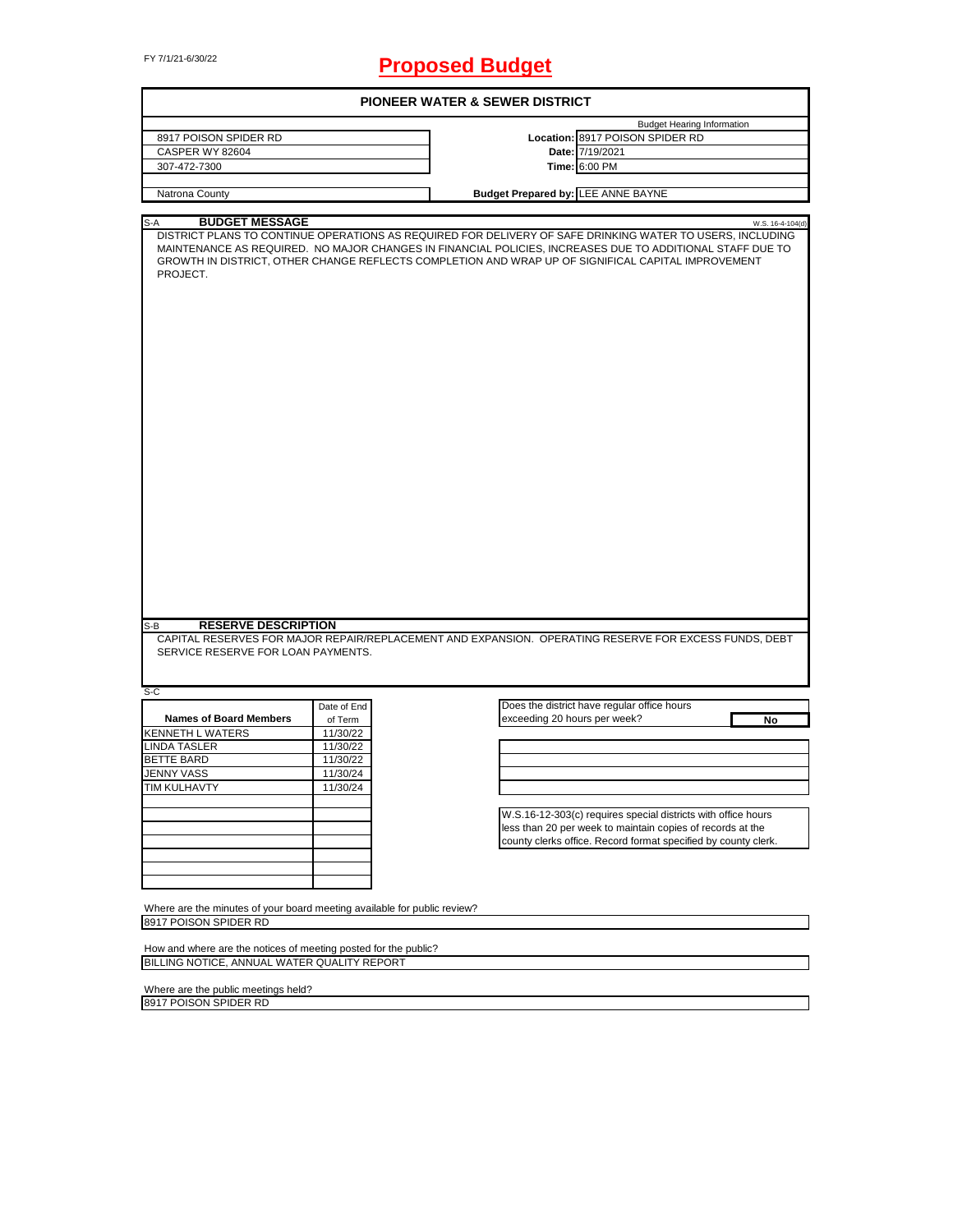# FY 7/1/21-6/30/22 **Proposed Budget**

| 8917 POISON SPIDER RD<br>CASPER WY 82604<br>307-472-7300<br>Natrona County<br><b>BUDGET MESSAGE</b><br>$S-A$<br>DISTRICT PLANS TO CONTINUE OPERATIONS AS REQUIRED FOR DELIVERY OF SAFE DRINKING WATER TO USERS, INCLUDING<br>MAINTENANCE AS REQUIRED. NO MAJOR CHANGES IN FINANCIAL POLICIES, INCREASES DUE TO ADDITIONAL STAFF DUE TO<br>GROWTH IN DISTRICT, OTHER CHANGE REFLECTS COMPLETION AND WRAP UP OF SIGNIFICAL CAPITAL IMPROVEMENT<br>PROJECT. |             |                              | Location: 8917 POISON SPIDER RD<br>Date: 7/19/2021<br>Time: 6:00 PM<br><b>Budget Prepared by: LEE ANNE BAYNE</b>            | <b>Budget Hearing Information</b><br>W.S. 16-4-104(d) |
|----------------------------------------------------------------------------------------------------------------------------------------------------------------------------------------------------------------------------------------------------------------------------------------------------------------------------------------------------------------------------------------------------------------------------------------------------------|-------------|------------------------------|-----------------------------------------------------------------------------------------------------------------------------|-------------------------------------------------------|
|                                                                                                                                                                                                                                                                                                                                                                                                                                                          |             |                              |                                                                                                                             |                                                       |
|                                                                                                                                                                                                                                                                                                                                                                                                                                                          |             |                              |                                                                                                                             |                                                       |
|                                                                                                                                                                                                                                                                                                                                                                                                                                                          |             |                              |                                                                                                                             |                                                       |
|                                                                                                                                                                                                                                                                                                                                                                                                                                                          |             |                              |                                                                                                                             |                                                       |
|                                                                                                                                                                                                                                                                                                                                                                                                                                                          |             |                              |                                                                                                                             |                                                       |
|                                                                                                                                                                                                                                                                                                                                                                                                                                                          |             |                              |                                                                                                                             |                                                       |
|                                                                                                                                                                                                                                                                                                                                                                                                                                                          |             |                              |                                                                                                                             |                                                       |
|                                                                                                                                                                                                                                                                                                                                                                                                                                                          |             |                              |                                                                                                                             |                                                       |
| <b>RESERVE DESCRIPTION</b><br>S-B<br>CAPITAL RESERVES FOR MAJOR REPAIR/REPLACEMENT AND EXPANSION. OPERATING RESERVE FOR EXCESS FUNDS, DEBT<br>SERVICE RESERVE FOR LOAN PAYMENTS.                                                                                                                                                                                                                                                                         |             |                              |                                                                                                                             |                                                       |
| $S-C$                                                                                                                                                                                                                                                                                                                                                                                                                                                    |             |                              |                                                                                                                             |                                                       |
|                                                                                                                                                                                                                                                                                                                                                                                                                                                          | Date of End |                              | Does the district have regular office hours                                                                                 |                                                       |
| <b>Names of Board Members</b>                                                                                                                                                                                                                                                                                                                                                                                                                            | of Term     | exceeding 20 hours per week? |                                                                                                                             | No                                                    |
| <b>KENNETH L WATERS</b>                                                                                                                                                                                                                                                                                                                                                                                                                                  | 11/30/22    |                              |                                                                                                                             |                                                       |
| <b>LINDA TASLER</b>                                                                                                                                                                                                                                                                                                                                                                                                                                      | 11/30/22    |                              |                                                                                                                             |                                                       |
| <b>BETTE BARD</b>                                                                                                                                                                                                                                                                                                                                                                                                                                        | 11/30/22    |                              |                                                                                                                             |                                                       |
| <b>JENNY VASS</b>                                                                                                                                                                                                                                                                                                                                                                                                                                        | 11/30/24    |                              |                                                                                                                             |                                                       |
| <b>TIM KULHAVTY</b>                                                                                                                                                                                                                                                                                                                                                                                                                                      | 11/30/24    |                              |                                                                                                                             |                                                       |
|                                                                                                                                                                                                                                                                                                                                                                                                                                                          |             |                              | W.S.16-12-303(c) requires special districts with office hours<br>less than 20 per week to maintain copies of records at the |                                                       |
|                                                                                                                                                                                                                                                                                                                                                                                                                                                          |             |                              | county clerks office. Record format specified by county clerk.                                                              |                                                       |
|                                                                                                                                                                                                                                                                                                                                                                                                                                                          |             |                              |                                                                                                                             |                                                       |
|                                                                                                                                                                                                                                                                                                                                                                                                                                                          |             |                              |                                                                                                                             |                                                       |
|                                                                                                                                                                                                                                                                                                                                                                                                                                                          |             |                              |                                                                                                                             |                                                       |
| Where are the minutes of your board meeting available for public review?<br>8917 POISON SPIDER RD                                                                                                                                                                                                                                                                                                                                                        |             |                              |                                                                                                                             |                                                       |
|                                                                                                                                                                                                                                                                                                                                                                                                                                                          |             |                              |                                                                                                                             |                                                       |
|                                                                                                                                                                                                                                                                                                                                                                                                                                                          |             |                              |                                                                                                                             |                                                       |
| How and where are the notices of meeting posted for the public?                                                                                                                                                                                                                                                                                                                                                                                          |             |                              |                                                                                                                             |                                                       |

Where are the public meetings held? 8917 POISON SPIDER RD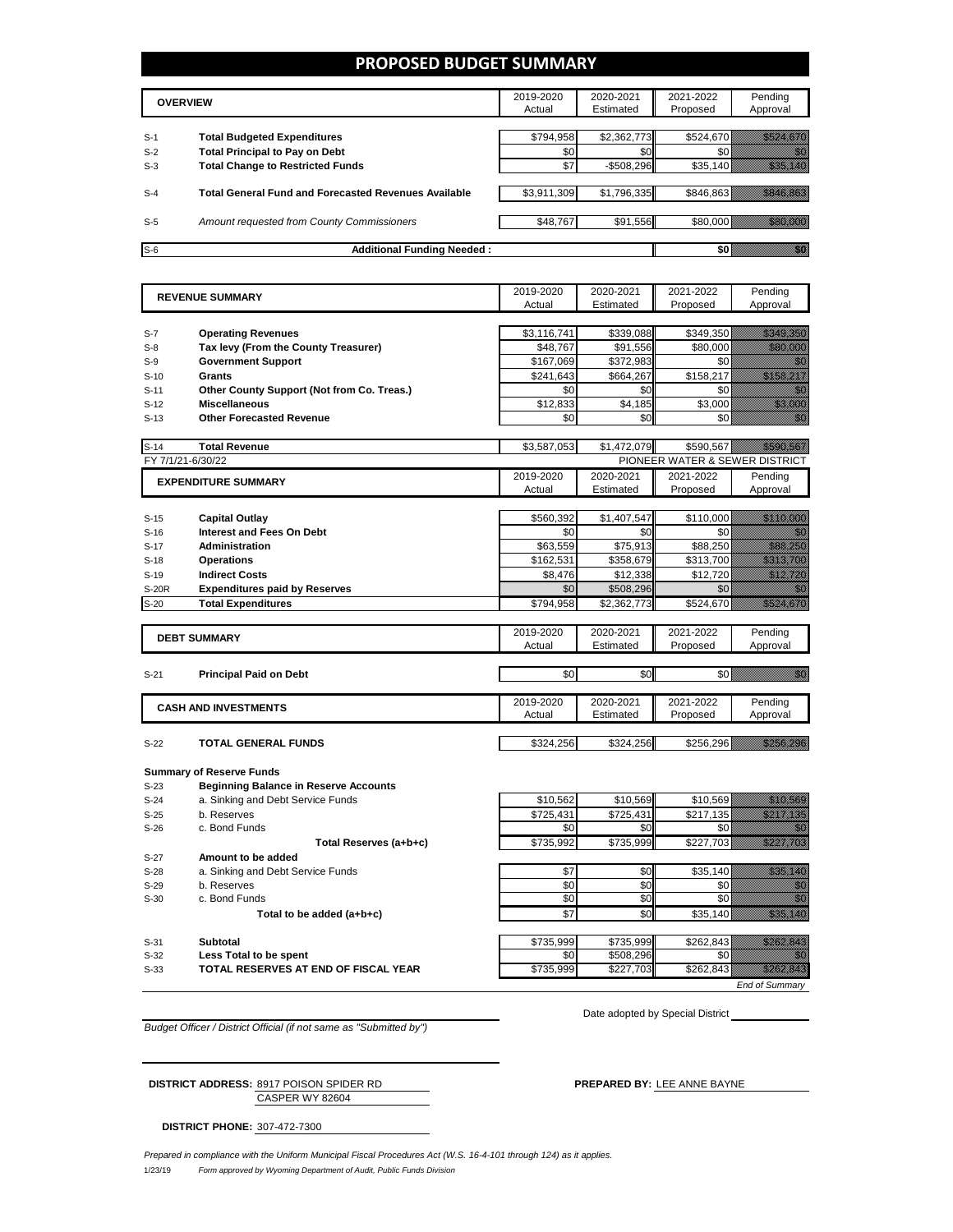### **PROPOSED BUDGET SUMMARY**

|       | <b>OVERVIEW</b>                                             | 2019-2020<br>Actual | 2020-2021<br>Estimated | 2021-2022<br>Proposed | Pending<br>Approval |
|-------|-------------------------------------------------------------|---------------------|------------------------|-----------------------|---------------------|
| $S-1$ | <b>Total Budgeted Expenditures</b>                          | \$794,958           | \$2,362,773            | \$524,670             |                     |
| $S-2$ | <b>Total Principal to Pay on Debt</b>                       | \$0                 | \$0                    |                       |                     |
| $S-3$ | <b>Total Change to Restricted Funds</b>                     | \$7                 | $-$ \$508,296          | \$35,140              |                     |
|       |                                                             |                     |                        |                       |                     |
| $S-4$ | <b>Total General Fund and Forecasted Revenues Available</b> | \$3,911,309         | \$1,796,335            | \$846,863             |                     |
|       |                                                             |                     |                        |                       |                     |
| $S-5$ | Amount requested from County Commissioners                  | \$48,767            | \$91,556               | \$80,000              |                     |
|       |                                                             |                     |                        |                       |                     |
| $S-6$ | <b>Additional Funding Needed:</b>                           |                     |                        |                       |                     |

| <b>REVENUE SUMMARY</b> |                                              | 2019-2020   | 2020-2021   | 2021-2022                      | Pending                                                                                                                                                                                                                          |
|------------------------|----------------------------------------------|-------------|-------------|--------------------------------|----------------------------------------------------------------------------------------------------------------------------------------------------------------------------------------------------------------------------------|
|                        |                                              | Actual      | Estimated   | Proposed                       | Approval                                                                                                                                                                                                                         |
|                        |                                              |             |             |                                |                                                                                                                                                                                                                                  |
| $S-7$                  | <b>Operating Revenues</b>                    | \$3,116,741 | \$339,088   | \$349,350                      | <u> Hillian Salah Ba</u>                                                                                                                                                                                                         |
| $S-8$                  | Tax levy (From the County Treasurer)         | \$48,767    | \$91,556    | \$80,000                       | <u>na kat</u>                                                                                                                                                                                                                    |
| $S-9$                  | <b>Government Support</b>                    | \$167,069   | \$372,983   | \$0                            | 1999                                                                                                                                                                                                                             |
| $S-10$                 | Grants                                       | \$241.643   | \$664.267   | \$158,217                      | <u> Maria Maria III (</u>                                                                                                                                                                                                        |
| $S-11$                 | Other County Support (Not from Co. Treas.)   | \$0         | \$0         | \$0                            | en de la familie de la familie de la familie de la familie de la familie de la familie de la familie de la fa<br>De la familie de la familie de la familie de la familie de la familie de la familie de la familie de la famili  |
| $S-12$                 | <b>Miscellaneous</b>                         | \$12,833    | \$4,185     | \$3,000                        | <u> Maria Sant</u>                                                                                                                                                                                                               |
| $S-13$                 | <b>Other Forecasted Revenue</b>              | \$0         | \$0         | \$0                            | an dhe                                                                                                                                                                                                                           |
|                        |                                              |             |             |                                |                                                                                                                                                                                                                                  |
| $S-14$                 | <b>Total Revenue</b>                         | \$3,587,053 | \$1,472,079 | \$590,567                      | <u> Karlingan Sa</u>                                                                                                                                                                                                             |
|                        | FY 7/1/21-6/30/22                            |             |             | PIONEER WATER & SEWER DISTRICT |                                                                                                                                                                                                                                  |
|                        | <b>EXPENDITURE SUMMARY</b>                   | 2019-2020   | 2020-2021   | 2021-2022                      | Pending                                                                                                                                                                                                                          |
|                        |                                              | Actual      | Estimated   | Proposed                       | Approval                                                                                                                                                                                                                         |
|                        |                                              |             |             |                                |                                                                                                                                                                                                                                  |
| $S-15$                 | <b>Capital Outlay</b>                        | \$560,392   | \$1,407,547 | \$110,000                      | <u> Maria Ser</u>                                                                                                                                                                                                                |
| $S-16$                 | <b>Interest and Fees On Debt</b>             | \$0         | \$0         | \$0                            | ni dhe                                                                                                                                                                                                                           |
| $S-17$                 | <b>Administration</b>                        | \$63,559    | \$75,913    | \$88,250                       | <u> Sida Ma</u>                                                                                                                                                                                                                  |
| $S-18$                 | <b>Operations</b>                            | \$162,531   | \$358,679   | \$313,700                      | <u>till framskt sta</u>                                                                                                                                                                                                          |
| $S-19$                 | <b>Indirect Costs</b>                        | \$8,476     | \$12,338    | \$12,720                       | <u> Karlin Ma</u>                                                                                                                                                                                                                |
| <b>S-20R</b>           | <b>Expenditures paid by Reserves</b>         | \$0         | \$508,296   | \$0                            | 76                                                                                                                                                                                                                               |
| $S-20$                 | <b>Total Expenditures</b>                    | \$794,958   | \$2,362,773 | \$524,670                      | <u>Till Henri Hans II</u>                                                                                                                                                                                                        |
|                        |                                              |             |             |                                |                                                                                                                                                                                                                                  |
|                        | <b>DEBT SUMMARY</b>                          | 2019-2020   | 2020-2021   | 2021-2022                      | Pending                                                                                                                                                                                                                          |
|                        |                                              | Actual      | Estimated   | Proposed                       | Approval                                                                                                                                                                                                                         |
|                        |                                              |             |             |                                |                                                                                                                                                                                                                                  |
| $S-21$                 | <b>Principal Paid on Debt</b>                | \$0         | \$0         | \$0                            | <u>Miller</u>                                                                                                                                                                                                                    |
|                        |                                              |             |             |                                |                                                                                                                                                                                                                                  |
|                        | <b>CASH AND INVESTMENTS</b>                  | 2019-2020   | 2020-2021   | 2021-2022                      | Pending                                                                                                                                                                                                                          |
|                        |                                              | Actual      | Estimated   | Proposed                       | Approval                                                                                                                                                                                                                         |
|                        |                                              |             |             |                                |                                                                                                                                                                                                                                  |
| $S-22$                 | <b>TOTAL GENERAL FUNDS</b>                   | \$324,256   | \$324,256   | \$256,296                      | <u> Hillian San B</u>                                                                                                                                                                                                            |
|                        |                                              |             |             |                                |                                                                                                                                                                                                                                  |
|                        | <b>Summary of Reserve Funds</b>              |             |             |                                |                                                                                                                                                                                                                                  |
| $S-23$                 | <b>Beginning Balance in Reserve Accounts</b> |             |             |                                |                                                                                                                                                                                                                                  |
| $S-24$                 | a. Sinking and Debt Service Funds            | \$10,562    | \$10,569    | \$10.569                       | <u> Hillian Sa</u>                                                                                                                                                                                                               |
| $S-25$                 | b. Reserves                                  | \$725,431   | \$725,431   | \$217,135                      | <u> Hillingar sama</u>                                                                                                                                                                                                           |
| $S-26$                 | c. Bond Funds                                | \$0         | \$0         | \$0                            | en de la familie de la familie de la familie de la familie de la familie de la familie de la familie de la fa<br>La familie de la familie de la familie de la familie de la familie de la familie de la familie de la familie d  |
|                        | Total Reserves (a+b+c)                       | \$735.992   | \$735.999   | \$227.703                      |                                                                                                                                                                                                                                  |
| $S-27$                 | Amount to be added                           |             |             |                                |                                                                                                                                                                                                                                  |
| $S-28$                 | a. Sinking and Debt Service Funds            | \$7         | \$0         | \$35,140                       | a katika katika katika katika katika katika katika katika katika katika katika katika katika katika katika kat<br>Katika katika katika katika katika katika katika katika katika katika katika katika katika katika katika katik |
| $S-29$                 | b. Reserves                                  | \$0         | \$0         | \$0                            | en de la familie de la familie de la familie de la familie de la familie de la familie de la familie de la fam<br>Constituit de la familie de la familie de la familie de la familie de la familie de la familie de la familie d |
| $S-30$                 | c. Bond Funds                                | \$0         | \$0         | \$0                            | enna<br>Mikro                                                                                                                                                                                                                    |
|                        | Total to be added (a+b+c)                    | \$7         | \$0         | \$35,140                       | <u> Mariji (</u>                                                                                                                                                                                                                 |
|                        |                                              |             |             |                                |                                                                                                                                                                                                                                  |
| $S-31$                 | Subtotal                                     | \$735,999   | \$735,999   | \$262,843                      | <u>Mille Charles Constant</u>                                                                                                                                                                                                    |
| $S-32$                 | Less Total to be spent                       | \$0         | \$508,296   | \$0                            | <u>ti k</u>                                                                                                                                                                                                                      |
| $S-33$                 | TOTAL RESERVES AT END OF FISCAL YEAR         | \$735,999   | \$227,703   | \$262,843                      | <u>elliku likuwa</u>                                                                                                                                                                                                             |

*End of Summary*

*Budget Officer / District Official (if not same as "Submitted by")*

CASPER WY 82604 **DISTRICT ADDRESS:** 8917 POISON SPIDER RD **PREPARED BY:** LEE ANNE BAYNE

Date adopted by Special District

**DISTRICT PHONE:** 307-472-7300

 $\overline{a}$ 

1/23/19 *Form approved by Wyoming Department of Audit, Public Funds Division Prepared in compliance with the Uniform Municipal Fiscal Procedures Act (W.S. 16-4-101 through 124) as it applies.*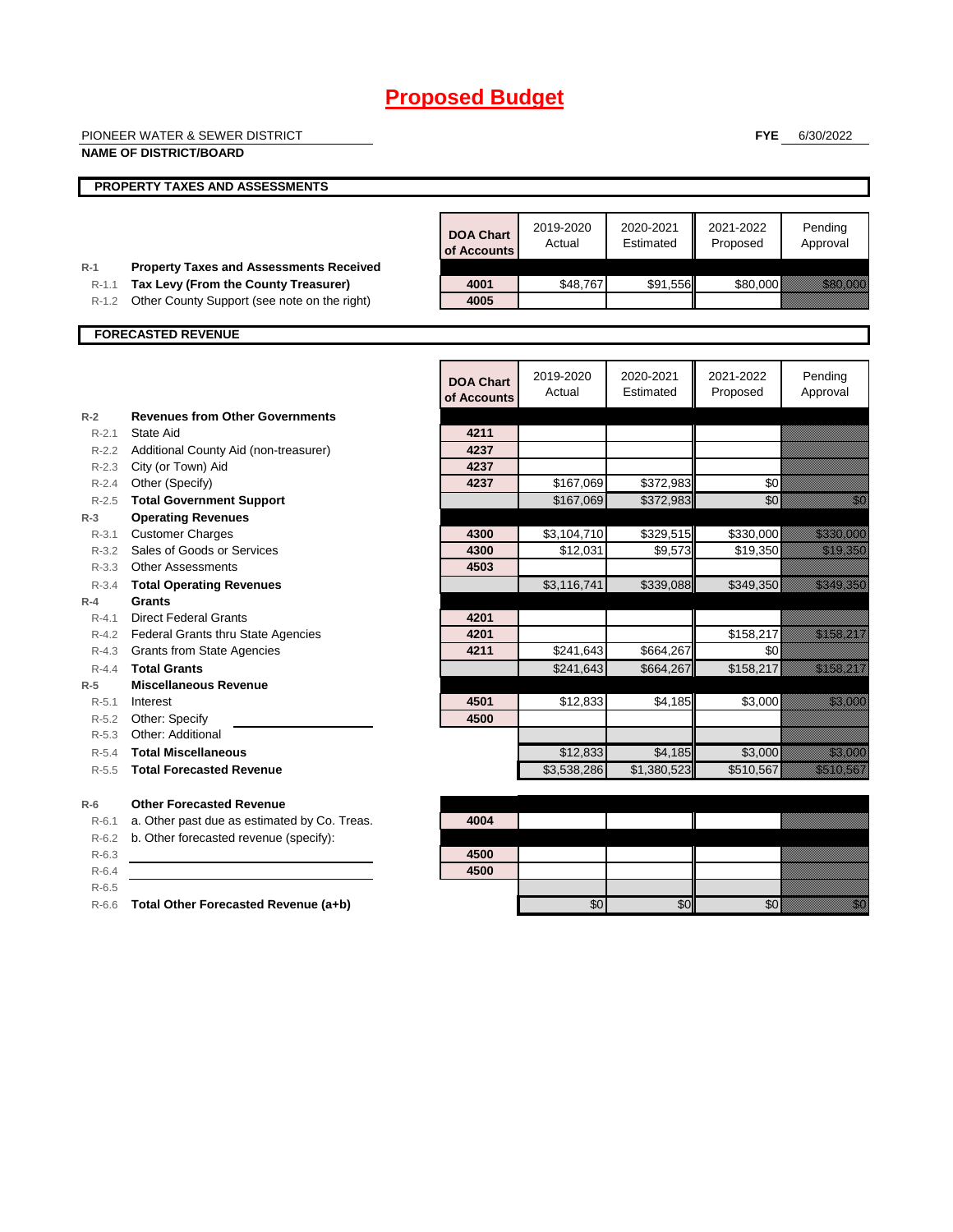|                  | PIONEER WATER & SEWER DISTRICT                                                         |                                 |                     |                        | <b>FYE</b>            | 6/30/2022                                                                                                                                                                                                                            |
|------------------|----------------------------------------------------------------------------------------|---------------------------------|---------------------|------------------------|-----------------------|--------------------------------------------------------------------------------------------------------------------------------------------------------------------------------------------------------------------------------------|
|                  | <b>NAME OF DISTRICT/BOARD</b>                                                          |                                 |                     |                        |                       |                                                                                                                                                                                                                                      |
|                  | PROPERTY TAXES AND ASSESSMENTS                                                         |                                 |                     |                        |                       |                                                                                                                                                                                                                                      |
|                  |                                                                                        |                                 |                     |                        |                       |                                                                                                                                                                                                                                      |
|                  |                                                                                        | <b>DOA Chart</b><br>of Accounts | 2019-2020<br>Actual | 2020-2021<br>Estimated | 2021-2022<br>Proposed | Pending<br>Approval                                                                                                                                                                                                                  |
| $R-1$<br>$R-1.1$ | <b>Property Taxes and Assessments Received</b><br>Tax Levy (From the County Treasurer) | 4001                            | \$48,767            | \$91,556               | \$80,000              | <b>Range Communication</b>                                                                                                                                                                                                           |
| $R-1.2$          | Other County Support (see note on the right)                                           | 4005                            |                     |                        |                       |                                                                                                                                                                                                                                      |
|                  |                                                                                        |                                 |                     |                        |                       |                                                                                                                                                                                                                                      |
|                  | <b>FORECASTED REVENUE</b>                                                              |                                 |                     |                        |                       |                                                                                                                                                                                                                                      |
|                  |                                                                                        |                                 |                     |                        |                       |                                                                                                                                                                                                                                      |
|                  |                                                                                        | <b>DOA Chart</b>                | 2019-2020<br>Actual | 2020-2021<br>Estimated | 2021-2022<br>Proposed | Pending<br>Approval                                                                                                                                                                                                                  |
|                  |                                                                                        | of Accounts                     |                     |                        |                       |                                                                                                                                                                                                                                      |
| $R-2$            | <b>Revenues from Other Governments</b>                                                 |                                 |                     |                        |                       |                                                                                                                                                                                                                                      |
| $R - 2.1$        | <b>State Aid</b><br>R-2.2 Additional County Aid (non-treasurer)                        | 4211<br>4237                    |                     |                        |                       |                                                                                                                                                                                                                                      |
| $R - 2.3$        | City (or Town) Aid                                                                     | 4237                            |                     |                        |                       |                                                                                                                                                                                                                                      |
| R-2.4            | Other (Specify)                                                                        | 4237                            | \$167,069           | \$372,983              | \$0                   |                                                                                                                                                                                                                                      |
| $R - 2.5$        | <b>Total Government Support</b>                                                        |                                 | \$167,069           | \$372,983              | \$0                   | en de la familie de la familie de la familie de la familie de la familie de la familie de la familie de la fam<br>Constituit de la familie de la familie de la familie de la familie de la familie de la familie de la familie d     |
| $R-3$            | <b>Operating Revenues</b>                                                              |                                 |                     |                        |                       |                                                                                                                                                                                                                                      |
| $R - 3.1$        | <b>Customer Charges</b>                                                                | 4300                            | \$3,104,710         | \$329,515              | \$330,000             | <u> Harry Corporation (</u>                                                                                                                                                                                                          |
| $R - 3.2$        | Sales of Goods or Services                                                             | 4300                            | \$12,031            | \$9,573                | \$19,350              | <u> Maria Barat da Barat da Barat da Barat da Barat da Barat da Barat da Barat da Barat da Barat da Barat da Bar</u>                                                                                                                 |
| R-3.3            | <b>Other Assessments</b>                                                               | 4503                            |                     |                        |                       |                                                                                                                                                                                                                                      |
| $R - 3.4$        | <b>Total Operating Revenues</b>                                                        |                                 | \$3,116,741         | \$339,088              | \$349,350             | <u> Elizabeth Charles Charles Charles Charles Charles Charles Charles Charles Charles Charles Charles Charles Ch</u>                                                                                                                 |
| $R-4$            | Grants                                                                                 |                                 |                     |                        |                       |                                                                                                                                                                                                                                      |
| $R - 4.1$        | <b>Direct Federal Grants</b><br>R-4.2 Federal Grants thru State Agencies               | 4201<br>4201                    |                     |                        | \$158,217             | <u> Maria Maria III.</u>                                                                                                                                                                                                             |
|                  | R-4.3 Grants from State Agencies                                                       | 4211                            | \$241,643           | \$664,267              | \$0                   |                                                                                                                                                                                                                                      |
| $R - 4.4$        | <b>Total Grants</b>                                                                    |                                 | \$241,643           | \$664,267              | \$158,217             | <u> Karl Charles Shekara ta 1999 (Barata Shekara ta 1999) da ga sar</u>                                                                                                                                                              |
| $R-5$            | <b>Miscellaneous Revenue</b>                                                           |                                 |                     |                        |                       |                                                                                                                                                                                                                                      |
| $R - 5.1$        | Interest                                                                               | 4501                            | \$12,833            | \$4,185                | \$3,000               | <u>tionary and the community of the community of the community of the community of the community of the community of the community of the community of the community of the community of the community of the community of the c</u> |
| $R-5.2$          | Other: Specify                                                                         | 4500                            |                     |                        |                       |                                                                                                                                                                                                                                      |
| $R-5.3$          | Other: Additional                                                                      |                                 |                     |                        |                       |                                                                                                                                                                                                                                      |
| $R-5.4$          | <b>Total Miscellaneous</b>                                                             |                                 | \$12,833            | \$4,185                | \$3,000               | e alla segunda<br>Alla segunda                                                                                                                                                                                                       |
| $R-5.5$          | <b>Total Forecasted Revenue</b>                                                        |                                 | \$3,538,286         | \$1,380,523            | \$510,567             | <u> Kabupatèn Ba</u>                                                                                                                                                                                                                 |
| $R-6$            | <b>Other Forecasted Revenue</b>                                                        |                                 |                     |                        |                       |                                                                                                                                                                                                                                      |
| $R-6.1$          | a. Other past due as estimated by Co. Treas.                                           | 4004                            |                     |                        |                       |                                                                                                                                                                                                                                      |
| $R-6.2$          | b. Other forecasted revenue (specify):                                                 |                                 |                     |                        |                       |                                                                                                                                                                                                                                      |
| $R-6.3$          |                                                                                        | 4500                            |                     |                        |                       |                                                                                                                                                                                                                                      |
| $R-6.4$          |                                                                                        | 4500                            |                     |                        |                       |                                                                                                                                                                                                                                      |
| $R-6.5$          |                                                                                        |                                 |                     |                        |                       |                                                                                                                                                                                                                                      |
| $R-6.6$          | Total Other Forecasted Revenue (a+b)                                                   |                                 | \$0                 | \$0                    | \$0                   | en de la familie de la familie de la familie de la familie de la familie de la familie de la familie de la fam<br>Constitution de la familie de la familie de la familie de la familie de la familie de la familie de la familie     |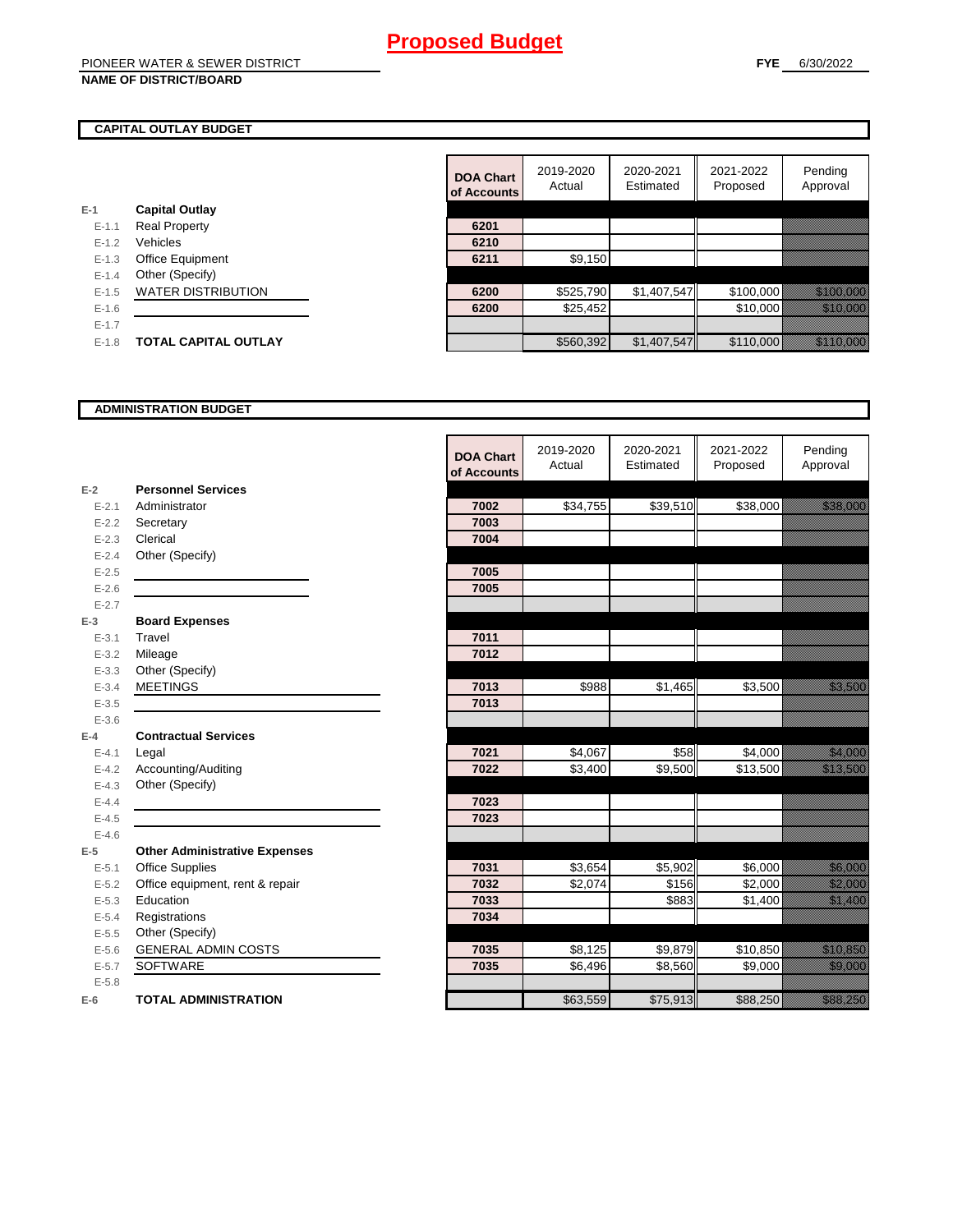### **CAPITAL OUTLAY BUDGET**

| $E-1$     | <b>Capital Outlay</b>       |      |           |
|-----------|-----------------------------|------|-----------|
| $E - 1.1$ | <b>Real Property</b>        | 6201 |           |
| $E - 1.2$ | Vehicles                    | 6210 |           |
| $E - 1.3$ | Office Equipment            | 6211 | \$9,150   |
| $E - 1.4$ | Other (Specify)             |      |           |
| $E - 1.5$ | <b>WATER DISTRIBUTION</b>   | 6200 | \$525,790 |
| $E-1.6$   |                             | 6200 | \$25.452  |
| $E-1.7$   |                             |      |           |
| $E-1.8$   | <b>TOTAL CAPITAL OUTLAY</b> |      | \$560,392 |
|           |                             |      |           |

|           |                             | <b>DOA Chart</b><br>of Accounts | 2019-2020<br>Actual | 2020-2021<br>Estimated | 2021-2022<br>Proposed | Pending<br>Approval     |
|-----------|-----------------------------|---------------------------------|---------------------|------------------------|-----------------------|-------------------------|
|           | <b>Capital Outlay</b>       |                                 |                     |                        |                       |                         |
| $E - 1.1$ | <b>Real Property</b>        | 6201                            |                     |                        |                       |                         |
| $E-1.2$   | Vehicles                    | 6210                            |                     |                        |                       |                         |
| $E - 1.3$ | Office Equipment            | 6211                            | \$9,150             |                        |                       |                         |
| $E - 1.4$ | Other (Specify)             |                                 |                     |                        |                       |                         |
| $E-1.5$   | <b>WATER DISTRIBUTION</b>   | 6200                            | \$525,790           | \$1,407,547            | \$100,000             | <u> Elizabeth Carl</u>  |
| $E-1.6$   |                             | 6200                            | \$25,452            |                        | \$10,000              |                         |
| $E - 1.7$ |                             |                                 |                     |                        |                       |                         |
| $E-1.8$   | <b>TOTAL CAPITAL OUTLAY</b> |                                 | \$560,392           | \$1,407,547            | \$110,000             | <u> Harry College (</u> |

#### **ADMINISTRATION BUDGET**

|           |                                      | <b>DOA Chart</b><br>of Accounts | 2019-2020<br>Actual | 2020-2021<br>Estimated | 2021-2022<br>Proposed | Pending<br>Approval                                                                                                                                                                                                                    |
|-----------|--------------------------------------|---------------------------------|---------------------|------------------------|-----------------------|----------------------------------------------------------------------------------------------------------------------------------------------------------------------------------------------------------------------------------------|
| $E-2$     | <b>Personnel Services</b>            |                                 |                     |                        |                       |                                                                                                                                                                                                                                        |
| $E - 2.1$ | Administrator                        | 7002                            | \$34,755            | \$39,510               | \$38,000              | <u> Harristo Sant</u>                                                                                                                                                                                                                  |
| $E - 2.2$ | Secretary                            | 7003                            |                     |                        |                       |                                                                                                                                                                                                                                        |
| $E - 2.3$ | Clerical                             | 7004                            |                     |                        |                       |                                                                                                                                                                                                                                        |
| $E - 2.4$ | Other (Specify)                      |                                 |                     |                        |                       |                                                                                                                                                                                                                                        |
| $E - 2.5$ |                                      | 7005                            |                     |                        |                       |                                                                                                                                                                                                                                        |
| $E-2.6$   |                                      | 7005                            |                     |                        |                       |                                                                                                                                                                                                                                        |
| $E - 2.7$ |                                      |                                 |                     |                        |                       |                                                                                                                                                                                                                                        |
| $E-3$     | <b>Board Expenses</b>                |                                 |                     |                        |                       |                                                                                                                                                                                                                                        |
| $E - 3.1$ | Travel                               | 7011                            |                     |                        |                       |                                                                                                                                                                                                                                        |
| $E - 3.2$ | Mileage                              | 7012                            |                     |                        |                       |                                                                                                                                                                                                                                        |
| $E - 3.3$ | Other (Specify)                      |                                 |                     |                        |                       |                                                                                                                                                                                                                                        |
| $E - 3.4$ | <b>MEETINGS</b>                      | 7013                            | \$988               | \$1,465                | \$3,500               | <u> Hillian Sta</u>                                                                                                                                                                                                                    |
| $E - 3.5$ |                                      | 7013                            |                     |                        |                       |                                                                                                                                                                                                                                        |
| $E - 3.6$ |                                      |                                 |                     |                        |                       |                                                                                                                                                                                                                                        |
| $E-4$     | <b>Contractual Services</b>          |                                 |                     |                        |                       |                                                                                                                                                                                                                                        |
| $E - 4.1$ | Legal                                | 7021                            | \$4,067             | \$58                   | \$4,000               | <u>ta kulturalari komunistasi komunistasi komunistasi komunistasi komunistasi komunistasi komunistasi komunistasi</u>                                                                                                                  |
| $E-4.2$   | Accounting/Auditing                  | 7022                            | \$3,400             | \$9,500                | \$13,500              | <u>i karatanan di kacamatan di sebagai di kacamatan di kacamatan di kacamatan di kacamatan di kacamatan di kacam</u>                                                                                                                   |
| $E - 4.3$ | Other (Specify)                      |                                 |                     |                        |                       |                                                                                                                                                                                                                                        |
| $E-4.4$   |                                      | 7023                            |                     |                        |                       |                                                                                                                                                                                                                                        |
| $E-4.5$   |                                      | 7023                            |                     |                        |                       |                                                                                                                                                                                                                                        |
| $E-4.6$   |                                      |                                 |                     |                        |                       |                                                                                                                                                                                                                                        |
| $E-5$     | <b>Other Administrative Expenses</b> |                                 |                     |                        |                       |                                                                                                                                                                                                                                        |
| $E - 5.1$ | <b>Office Supplies</b>               | 7031                            | \$3,654             | \$5,902                | \$6,000               | <u>tik komunistiske komunistiske komunistiske komunistiske komunistiske komunistiske komunistiske komunistiske k</u><br>Naskiĝiske komunistiske komunistiske komunistiske komunistiske komunistiske komunistiske komunistiske komunist |
| $E - 5.2$ | Office equipment, rent & repair      | 7032                            | \$2,074             | \$156                  | \$2,000               | <u> Millian Sa</u>                                                                                                                                                                                                                     |
| $E - 5.3$ | Education                            | 7033                            |                     | \$883                  | \$1,400               | <u>ting and</u>                                                                                                                                                                                                                        |
| $E - 5.4$ | Registrations                        | 7034                            |                     |                        |                       |                                                                                                                                                                                                                                        |
| $E-5.5$   | Other (Specify)                      |                                 |                     |                        |                       |                                                                                                                                                                                                                                        |
| $E-5.6$   | <b>GENERAL ADMIN COSTS</b>           | 7035                            | \$8,125             | \$9,879                | \$10,850              | a katika katika katika katika alikuwa na katika alikuwa na katika alikuwa na katika alikuwa na katika alikuwa<br>Marejeo                                                                                                               |
| $E - 5.7$ | <b>SOFTWARE</b>                      | 7035                            | \$6,496             | \$8,560                | \$9,000               | <u>ti kanalizi ya kushi ya kushi ya kushi ya kushi ya kushi ya kushi ya kushi ya kushi ya kushi ya kushi ya kush</u>                                                                                                                   |
| $E - 5.8$ |                                      |                                 |                     |                        |                       |                                                                                                                                                                                                                                        |
| $E-6$     | <b>TOTAL ADMINISTRATION</b>          |                                 | \$63,559            | \$75,913               | \$88,250              | a a chuid ann an chuid an chuid an chuid an chuid an chuid an chuid an chuid an chuid an chuid an chuid an chu                                                                                                                         |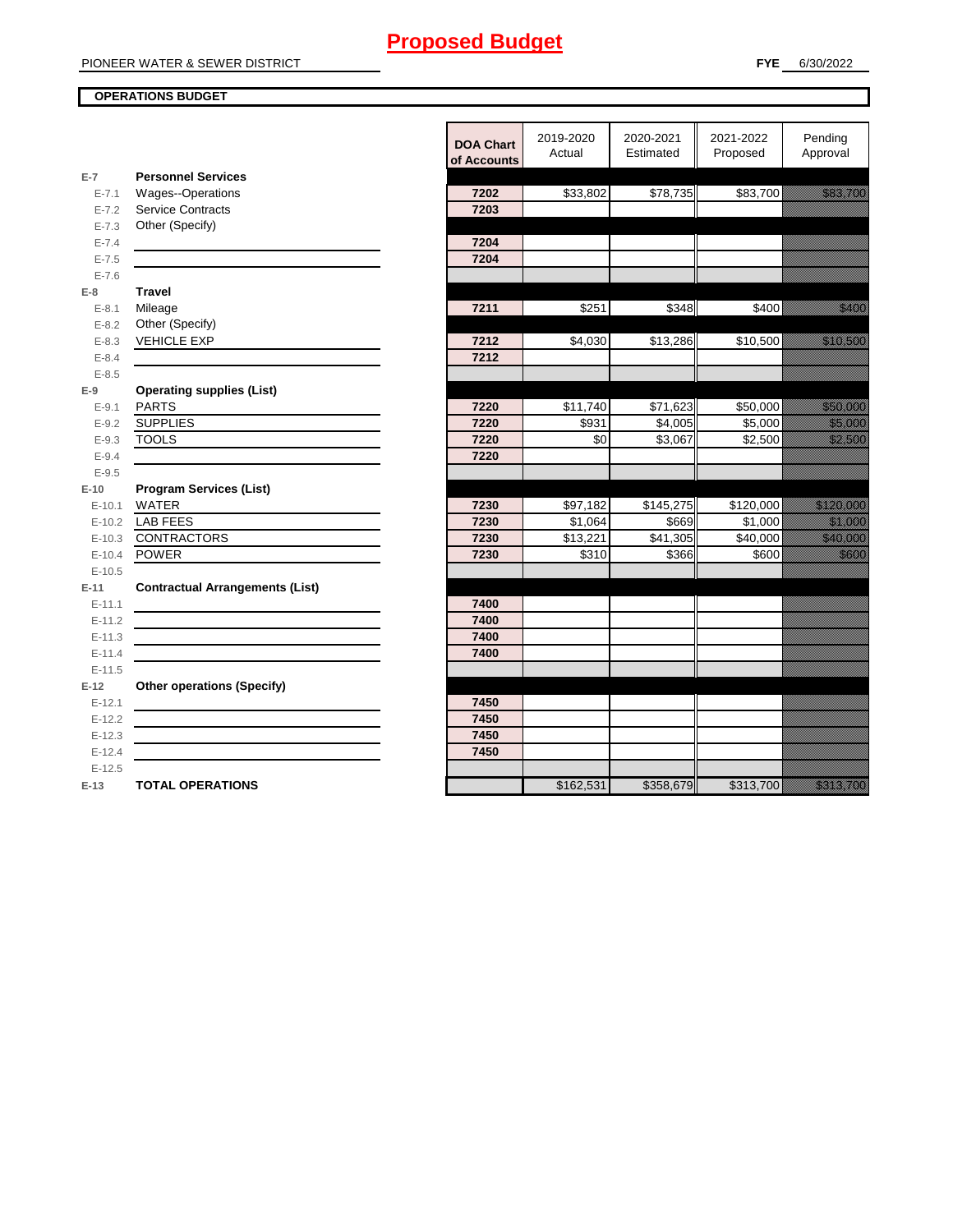#### **OPERATIONS BUDGET**

**E-7**

**E-8 Travel**

**E-9**

**E-10**

**E-11 Contractual Arrangements (List)** 

**E-12 Other operations (Specify)** 

|                      |                                                                                                                      | <b>DOA Chart</b><br>of Accounts | 2019-2020<br>Actual | 2020-2021<br>Estimated | 2021-2022<br>Proposed | Pending<br>Approval            |
|----------------------|----------------------------------------------------------------------------------------------------------------------|---------------------------------|---------------------|------------------------|-----------------------|--------------------------------|
| $E-7$                | <b>Personnel Services</b>                                                                                            |                                 |                     |                        |                       |                                |
| $E - 7.1$            | Wages--Operations                                                                                                    | 7202                            | \$33,802            | \$78,735               | \$83,700              | <u>tionalisti ku</u>           |
| $E - 7.2$            | <b>Service Contracts</b>                                                                                             | 7203                            |                     |                        |                       |                                |
| $E - 7.3$            | Other (Specify)                                                                                                      |                                 |                     |                        |                       |                                |
| $E - 7.4$            |                                                                                                                      | 7204                            |                     |                        |                       |                                |
| $E - 7.5$            |                                                                                                                      | 7204                            |                     |                        |                       |                                |
| $E - 7.6$            |                                                                                                                      |                                 |                     |                        |                       |                                |
| $E-8$                | <b>Travel</b>                                                                                                        |                                 |                     |                        |                       |                                |
| $E - 8.1$            | Mileage                                                                                                              | 7211                            | \$251               | \$348                  | \$400                 | <u>tik k</u>                   |
| $E - 8.2$            | Other (Specify)                                                                                                      |                                 |                     |                        |                       |                                |
| $E - 8.3$            | <b>VEHICLE EXP</b>                                                                                                   | 7212                            | \$4,030             | \$13,286               | \$10,500              | <u> Karl Sara</u>              |
| $E - 8.4$            |                                                                                                                      | 7212                            |                     |                        |                       |                                |
| $E - 8.5$            |                                                                                                                      |                                 |                     |                        |                       |                                |
| $E-9$                | <b>Operating supplies (List)</b>                                                                                     |                                 |                     |                        |                       |                                |
| $E - 9.1$            | <b>PARTS</b>                                                                                                         | 7220                            | \$11,740            | \$71,623               | \$50,000              | <u> Karl Barat Sara</u>        |
| $E - 9.2$            | <b>SUPPLIES</b>                                                                                                      | 7220                            | \$931<br>\$0        | \$4,005                | \$5,000               | <u>ti ka</u>                   |
| $E - 9.3$            | <b>TOOLS</b>                                                                                                         | 7220                            |                     | \$3,067                | \$2,500               | <u>till fram en sta</u>        |
| $E - 9.4$<br>$E-9.5$ |                                                                                                                      | 7220                            |                     |                        |                       |                                |
| $E-10$               | <b>Program Services (List)</b>                                                                                       |                                 |                     |                        |                       |                                |
| $E-10.1$             | <b>WATER</b>                                                                                                         | 7230                            | \$97,182            | \$145,275              | \$120,000             | <u> Kalèndher Ka</u>           |
| $E-10.2$             | <b>LAB FEES</b>                                                                                                      | 7230                            | \$1,064             | \$669                  | \$1,000               | <u>tik komunistist om de s</u> |
| $E-10.3$             | <b>CONTRACTORS</b>                                                                                                   | 7230                            | \$13,221            | \$41,305               | \$40,000              | <u> Mariji (</u>               |
| $E-10.4$             | POWER                                                                                                                | 7230                            | \$310               | \$366                  | \$600                 | <u>tik k</u>                   |
| $E-10.5$             |                                                                                                                      |                                 |                     |                        |                       |                                |
| $E-11$               | <b>Contractual Arrangements (List)</b>                                                                               |                                 |                     |                        |                       |                                |
| $E-11.1$             |                                                                                                                      | 7400                            |                     |                        |                       |                                |
| $E-11.2$             | <u> 1980 - Johann Barn, amerikan besteman besteman besteman besteman besteman besteman besteman besteman bestema</u> | 7400                            |                     |                        |                       |                                |
| $E-11.3$             |                                                                                                                      | 7400                            |                     |                        |                       |                                |
| $E-11.4$             |                                                                                                                      | 7400                            |                     |                        |                       |                                |
| $E-11.5$             |                                                                                                                      |                                 |                     |                        |                       |                                |
| $E-12$               | <b>Other operations (Specify)</b>                                                                                    |                                 |                     |                        |                       |                                |
| $E-12.1$             |                                                                                                                      | 7450                            |                     |                        |                       |                                |
| $E-12.2$             |                                                                                                                      | 7450                            |                     |                        |                       |                                |
| $E-12.3$             |                                                                                                                      | 7450                            |                     |                        |                       |                                |
| $E-12.4$             |                                                                                                                      | 7450                            |                     |                        |                       |                                |
| $E-12.5$             |                                                                                                                      |                                 |                     |                        |                       |                                |
| E-13                 | <b>TOTAL OPERATIONS</b>                                                                                              |                                 | \$162,531           | \$358,679              | \$313,700             | <u>ta kalendari k</u>          |
|                      |                                                                                                                      |                                 |                     |                        |                       |                                |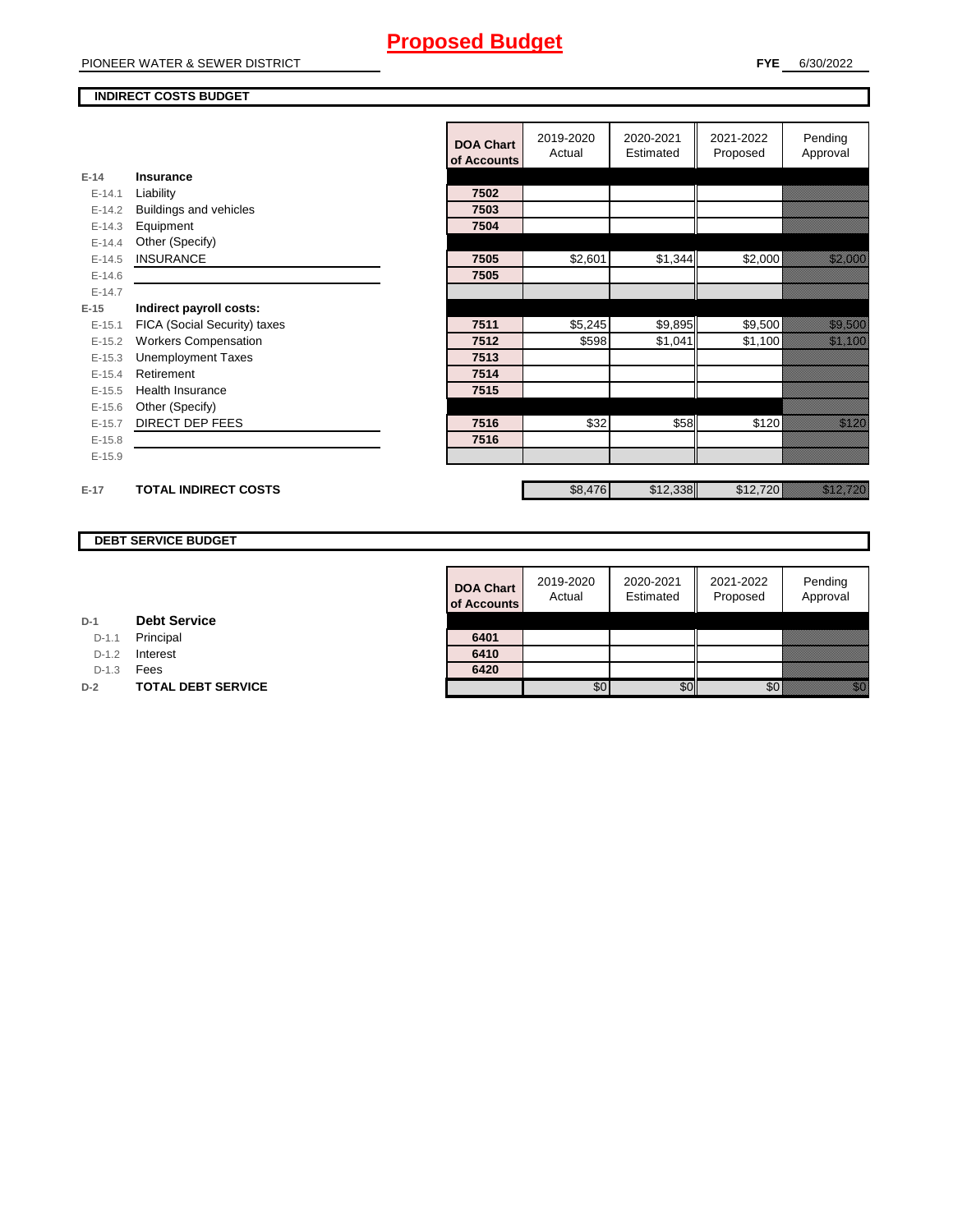## **INDIRECT COSTS BUDGET**

|          |                              | <b>DOA Chart</b><br>of Accounts | 2019-2020<br>Actual | 2020-2021<br>Estimated | 2021-2022<br>Proposed | Pending<br>Approval                                                                                                                                                                                                             |
|----------|------------------------------|---------------------------------|---------------------|------------------------|-----------------------|---------------------------------------------------------------------------------------------------------------------------------------------------------------------------------------------------------------------------------|
| $E-14$   | Insurance                    |                                 |                     |                        |                       |                                                                                                                                                                                                                                 |
| $E-14.1$ | Liability                    | 7502                            |                     |                        |                       |                                                                                                                                                                                                                                 |
| $E-14.2$ | Buildings and vehicles       | 7503                            |                     |                        |                       |                                                                                                                                                                                                                                 |
| $E-14.3$ | Equipment                    | 7504                            |                     |                        |                       |                                                                                                                                                                                                                                 |
| $E-14.4$ | Other (Specify)              |                                 |                     |                        |                       |                                                                                                                                                                                                                                 |
| $E-14.5$ | <b>INSURANCE</b>             | 7505                            | \$2,601             | \$1,344                | \$2,000               | <u> Kabupatèn Ba</u>                                                                                                                                                                                                            |
| $E-14.6$ |                              | 7505                            |                     |                        |                       |                                                                                                                                                                                                                                 |
| $E-14.7$ |                              |                                 |                     |                        |                       |                                                                                                                                                                                                                                 |
| $E-15$   | Indirect payroll costs:      |                                 |                     |                        |                       |                                                                                                                                                                                                                                 |
| $E-15.1$ | FICA (Social Security) taxes | 7511                            | \$5,245             | \$9,895                | \$9,500               | <u>tion and the second the second the second term</u>                                                                                                                                                                           |
| $E-15.2$ | <b>Workers Compensation</b>  | 7512                            | \$598               | \$1,041                | \$1,100               | <u> Karlin Saraja</u>                                                                                                                                                                                                           |
| $E-15.3$ | <b>Unemployment Taxes</b>    | 7513                            |                     |                        |                       |                                                                                                                                                                                                                                 |
| $E-15.4$ | Retirement                   | 7514                            |                     |                        |                       |                                                                                                                                                                                                                                 |
| $E-15.5$ | <b>Health Insurance</b>      | 7515                            |                     |                        |                       |                                                                                                                                                                                                                                 |
| $E-15.6$ | Other (Specify)              |                                 |                     |                        |                       |                                                                                                                                                                                                                                 |
| $E-15.7$ | <b>DIRECT DEP FEES</b>       | 7516                            | \$32                | \$58                   | \$120                 | <u> Karlin Sa</u>                                                                                                                                                                                                               |
| $E-15.8$ |                              | 7516                            |                     |                        |                       |                                                                                                                                                                                                                                 |
| $E-15.9$ |                              |                                 |                     |                        |                       |                                                                                                                                                                                                                                 |
|          |                              |                                 |                     |                        |                       |                                                                                                                                                                                                                                 |
| $E-17$   | <b>TOTAL INDIRECT COSTS</b>  |                                 | \$8,476             | \$12,338               | \$12,720              | a katika kutoka kutoka kutoka kutoka kutoka kutoka kutoka kutoka kutoka kutoka kutoka kutoka kutoka kutoka ku<br>Katika kutoka kutoka kutoka kutoka kutoka kutoka kutoka kutoka kutoka kutoka kutoka kutoka kutoka kutoka kutok |
|          |                              |                                 |                     |                        |                       |                                                                                                                                                                                                                                 |

## **DEBT SERVICE BUDGET**

| <b>DOA Chart</b><br>of Accounts | 2019-2020<br>Actual | 2020-2021<br>Estimated | 2021-2022<br>Proposed | Pending<br>Approval |
|---------------------------------|---------------------|------------------------|-----------------------|---------------------|
|                                 |                     |                        |                       |                     |
| 6401                            |                     |                        |                       |                     |
| 6410                            |                     |                        |                       |                     |
| 6420                            |                     |                        |                       |                     |
|                                 |                     |                        |                       |                     |

**D-1 Debt Service** D-1.1 Principal

D-1.2 **Interest** 

D-1.3 **Fees** 

**D-2 TOTAL DEBT SERVICE**